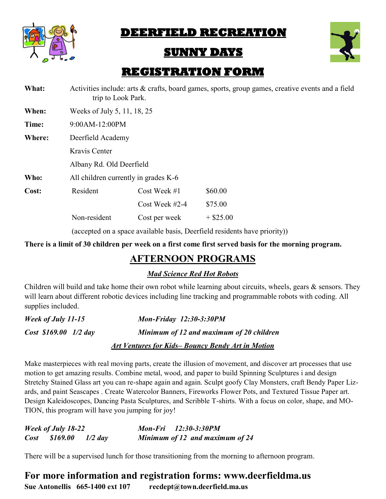

# **DEERFIELD RECREATION**

# **SUNNY DAYS**



# **REGISTRATION FORM**

| What:  | trip to Look Park.                   |                  | Activities include: arts & crafts, board games, sports, group games, creative events and a field |
|--------|--------------------------------------|------------------|--------------------------------------------------------------------------------------------------|
| When:  | Weeks of July 5, 11, 18, 25          |                  |                                                                                                  |
| Time:  | 9:00AM-12:00PM                       |                  |                                                                                                  |
| Where: | Deerfield Academy                    |                  |                                                                                                  |
|        | Kravis Center                        |                  |                                                                                                  |
|        | Albany Rd. Old Deerfield             |                  |                                                                                                  |
| Who:   | All children currently in grades K-6 |                  |                                                                                                  |
| Cost:  | Resident                             | Cost Week $#1$   | \$60.00                                                                                          |
|        |                                      | Cost Week $#2-4$ | \$75.00                                                                                          |
|        | Non-resident                         | Cost per week    | $+$ \$25.00                                                                                      |
|        |                                      |                  | (accepted on a space available basis, Deerfield residents have priority))                        |

**There is a limit of 30 children per week on a first come first served basis for the morning program.** 

## **AFTERNOON PROGRAMS**

*Mad Science Red Hot Robots*

Children will build and take home their own robot while learning about circuits, wheels, gears & sensors. They will learn about different robotic devices including line tracking and programmable robots with coding. All supplies included.

| Week of July 11-15    | <b>Mon-Friday 12:30-3:30PM</b>                          |
|-----------------------|---------------------------------------------------------|
| Cost \$169.00 1/2 day | Minimum of 12 and maximum of 20 children                |
|                       | <b>Art Ventures for Kids-Bouncy Bendy Art in Motion</b> |

Make masterpieces with real moving parts, create the illusion of movement, and discover art processes that use motion to get amazing results. Combine metal, wood, and paper to build Spinning Sculptures i and design Stretchy Stained Glass art you can re-shape again and again. Sculpt goofy Clay Monsters, craft Bendy Paper Lizards, and paint Seascapes . Create Watercolor Banners, Fireworks Flower Pots, and Textured Tissue Paper art. Design Kaleidoscopes, Dancing Pasta Sculptures, and Scribble T-shirts. With a focus on color, shape, and MO-TION, this program will have you jumping for joy!

| <b>Week of July 18-22</b> |           | Mon-Fri 12:30-3:30PM |                                 |
|---------------------------|-----------|----------------------|---------------------------------|
| $Cost$ \$169.00           | $1/2$ day |                      | Minimum of 12 and maximum of 24 |

There will be a supervised lunch for those transitioning from the morning to afternoon program.

**For more information and registration forms: www.deerfieldma.us Sue Antonellis 665-1400 ext 107 recdept@town.deerfield.ma.us**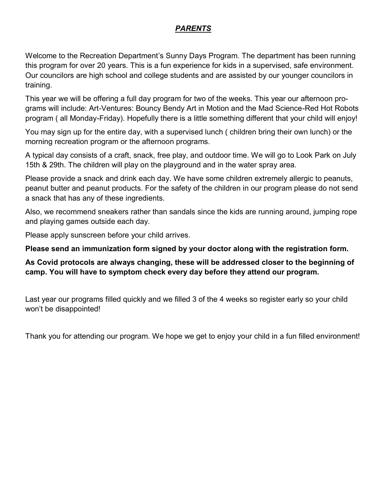### *PARENTS*

Welcome to the Recreation Department's Sunny Days Program. The department has been running this program for over 20 years. This is a fun experience for kids in a supervised, safe environment. Our councilors are high school and college students and are assisted by our younger councilors in training.

This year we will be offering a full day program for two of the weeks. This year our afternoon programs will include: Art-Ventures: Bouncy Bendy Art in Motion and the Mad Science-Red Hot Robots program ( all Monday-Friday). Hopefully there is a little something different that your child will enjoy!

You may sign up for the entire day, with a supervised lunch ( children bring their own lunch) or the morning recreation program or the afternoon programs.

A typical day consists of a craft, snack, free play, and outdoor time. We will go to Look Park on July 15th & 29th. The children will play on the playground and in the water spray area.

Please provide a snack and drink each day. We have some children extremely allergic to peanuts, peanut butter and peanut products. For the safety of the children in our program please do not send a snack that has any of these ingredients.

Also, we recommend sneakers rather than sandals since the kids are running around, jumping rope and playing games outside each day.

Please apply sunscreen before your child arrives.

#### **Please send an immunization form signed by your doctor along with the registration form.**

### **As Covid protocols are always changing, these will be addressed closer to the beginning of camp. You will have to symptom check every day before they attend our program.**

Last year our programs filled quickly and we filled 3 of the 4 weeks so register early so your child won't be disappointed!

Thank you for attending our program. We hope we get to enjoy your child in a fun filled environment!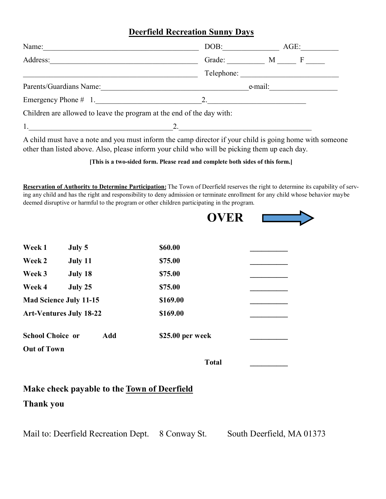### **Deerfield Recreation Sunny Days**

| Name:                                                                 | DOB:   |         | $AGE$ :    |  |
|-----------------------------------------------------------------------|--------|---------|------------|--|
| Address:                                                              | Grade: |         | M F        |  |
|                                                                       |        |         | Telephone: |  |
| Parents/Guardians Name:                                               |        | e-mail: |            |  |
| Emergency Phone $\#$ 1.                                               | 2.     |         |            |  |
| Children are allowed to leave the program at the end of the day with: |        |         |            |  |
| 1.                                                                    |        |         |            |  |
|                                                                       |        |         |            |  |

A child must have a note and you must inform the camp director if your child is going home with someone other than listed above. Also, please inform your child who will be picking them up each day.

**[This is a two-sided form. Please read and complete both sides of this form.]**

**Reservation of Authority to Determine Participation:** The Town of Deerfield reserves the right to determine its capability of serving any child and has the right and responsibility to deny admission or terminate enrollment for any child whose behavior maybe deemed disruptive or harmful to the program or other children participating in the program.

|                                                    | <b>OVER</b>      |                           |
|----------------------------------------------------|------------------|---------------------------|
| July 5<br>Week 1                                   | \$60.00          |                           |
| Week 2<br>July 11                                  | \$75.00          |                           |
| Week 3<br>July 18                                  | \$75.00          |                           |
| Week 4<br>July 25                                  | \$75.00          |                           |
| <b>Mad Science July 11-15</b>                      | \$169.00         |                           |
| <b>Art-Ventures July 18-22</b>                     | \$169.00         |                           |
| <b>School Choice or</b><br>Add                     | \$25.00 per week |                           |
| <b>Out of Town</b>                                 |                  |                           |
|                                                    | <b>Total</b>     |                           |
| Make check payable to the <b>Town of Deerfield</b> |                  |                           |
| <b>Thank you</b>                                   |                  |                           |
| Mail to: Deerfield Recreation Dept.                | 8 Conway St.     | South Deerfield, MA 01373 |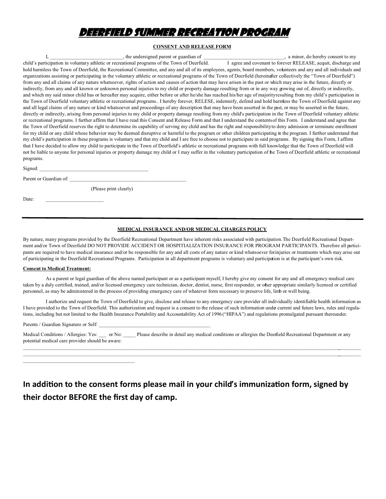## DEERFIELD SUMMER RECREATION PROGRAM

#### **CONSENT AND RELEASE FORM**

|           | child's participation in voluntary athletic or recreational programs of the Town of Deerfield. I agree and covenant to forever RELEASE, acquit, discharge and              |  |
|-----------|----------------------------------------------------------------------------------------------------------------------------------------------------------------------------|--|
|           | hold harmless the Town of Deerfield, the Recreational Committee, and any and all of its employees, agents, board members, volunteers and any and all individuals and       |  |
|           | organizations assisting or participating in the voluntary athletic or recreational programs of the Town of Deerfield (hereinafter collectively the "Town of Deerfield")    |  |
|           | from any and all claims of any nature whatsoever, rights of action and causes of action that may have arisen in the past or which may arise in the future, directly or     |  |
|           | indirectly, from any and all known or unknown personal injuries to my child or property damage resulting from or in any way growing out of, directly or indirectly,        |  |
|           | and which my said minor child has or hereafter may acquire, either before or after he/she has reached his/her age of majority resulting from my child's participation in   |  |
|           | the Town of Deerfield voluntary athletic or recreational programs I hereby forever, RELESE, indemnify, defend and hold harmless the Town of Deerfield against any          |  |
|           | and all legal claims of any nature or kind whatsoever and proceedings of any description that may have been asserted in the past, or may be asserted in the future,        |  |
|           | directly or indirectly, arising from personal injuries to my child or property damage resulting from my child's participation in the Town of Deerfield voluntary athletic  |  |
|           | or recreational programs. I further affirm that I have read this Consent and Release Form and that I understand the contents of this Form. I understand and agree that     |  |
|           | the Town of Deerfield reserves the right to determine its capability of serving my child and has the right and responsibility to deny admission or terminate enrollment    |  |
|           | for my child or any child whose behavior may be deemed disruptive or harmful to the program or other children participating in the program. I further understand that      |  |
|           | my child's participation in these programs is voluntary and that my child and I are free to choose not to participate in said programs. By signing this Form, I affirm     |  |
|           | that I have decided to allow my child to participate in the Town of Deerfield's athletic or recreational programs with full knowledge that the Town of Deerfield will      |  |
|           | not be liable to anyone for personal injuries or property damage my child or I may suffer in the voluntary participation of the Town of Deerfield athletic or recreational |  |
| programs. |                                                                                                                                                                            |  |
|           |                                                                                                                                                                            |  |

Signed:

Parent or Guardian of:

(Please print clearly)

Date:

#### **MEDICAL INSURANCE AND/OR MEDICAL CHARGES POLICY**

By nature, many programs provided by the Deerfield Recreational Department have inherent risks associated with participation.The Deerfield Recreational Department and/or Town of Deerfield DO NOT PROVIDE ACCIDENT OR HOSPITIALIZATION INSURANCE FOR PROGRAM PARTICIPANTS. Therefore all participants are required to have medical insurance and/or be responsible for any and all costs of any nature or kind whatsoever forinjuries or treatments which may arise out of participating in the Deerfield Recreational Programs. Participation in all department programs is voluntary and participation is at the participant's own risk.

#### **Consent to Medical Treatment:**

As a parent or legal guardian of the above named participant or as a participant myself, I hereby give my consent for any and all emergency medical care taken by a duly certified, trained, and/or licensed emergency care technician, doctor, dentist, nurse, first responder, or other appropriate similarly licensed or certified personnel, as may be administered in the process of providing emergency care of whatever form necessary to preserve life, limb or well being.

I authorize and request the Town of Deerfield to give, disclose and release to any emergency care provider all individually identifiable health information as I have provided to the Town of Deerfield. This authorization and request is a consent to the release of such information under current and future laws, rules and regulations, including but not limited to the Health Insurance Portability and Accountability Act of 1996 ("HIPAA") and regulations promulgated pursuant thereunder.

Parents / Guardian Signature or Self:

| Medical Conditions / Allergies: Yes:             | or No: | Please describe in detail any medical conditions or allergies the Deeffield Recreational Department or any |
|--------------------------------------------------|--------|------------------------------------------------------------------------------------------------------------|
| potential medical care provider should be aware: |        |                                                                                                            |

 $\mathcal{L} = \{ \mathcal{L} = \{ \mathcal{L} = \{ \mathcal{L} = \{ \mathcal{L} = \{ \mathcal{L} = \{ \mathcal{L} = \{ \mathcal{L} = \{ \mathcal{L} = \{ \mathcal{L} = \{ \mathcal{L} = \{ \mathcal{L} = \{ \mathcal{L} = \{ \mathcal{L} = \{ \mathcal{L} = \{ \mathcal{L} = \{ \mathcal{L} = \{ \mathcal{L} = \{ \mathcal{L} = \{ \mathcal{L} = \{ \mathcal{L} = \{ \mathcal{L} = \{ \mathcal{L} = \{ \mathcal{L} = \{ \mathcal{$  $\mathcal{L}=\{x_1,\ldots,x_n\}$  and  $\mathcal{L}=\{x_1,\ldots,x_n\}$  and  $\mathcal{L}=\{x_1,\ldots,x_n\}$  and  $\mathcal{L}=\{x_1,\ldots,x_n\}$ 

## **In addition to the consent forms please mail in your child's immunization form, signed by their doctor BEFORE the first day of camp.**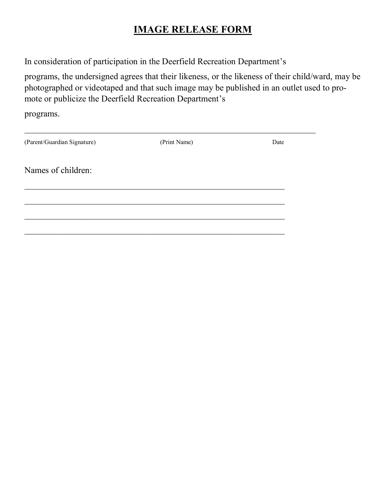# **IMAGE RELEASE FORM**

In consideration of participation in the Deerfield Recreation Department's

programs, the undersigned agrees that their likeness, or the likeness of their child/ward, may be photographed or videotaped and that such image may be published in an outlet used to promote or publicize the Deerfield Recreation Department's

programs.

| (Parent/Guardian Signature) | (Print Name) | Date |
|-----------------------------|--------------|------|
| Names of children:          |              |      |
|                             |              |      |
|                             |              |      |